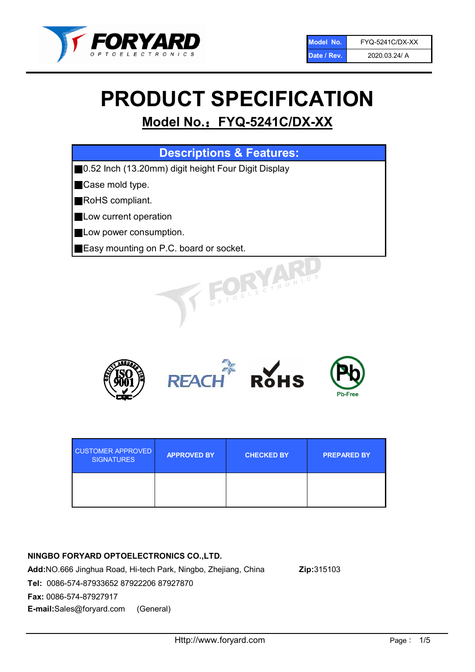

# PRODUCT SPECIFICATION

# Model No.: FYQ-5241C/DX-XX

| <b>Descriptions &amp; Features:</b>                 |
|-----------------------------------------------------|
| 0.52 Inch (13.20mm) digit height Four Digit Display |
| Case mold type.                                     |
| RoHS compliant.                                     |
| Low current operation                               |
| Low power consumption.                              |
| Easy mounting on P.C. board or socket.              |
| OELECTRONICS                                        |



| <b>CUSTOMER APPROVED</b><br><b>SIGNATURES</b> | <b>APPROVED BY</b> | <b>CHECKED BY</b> | <b>PREPARED BY</b> |
|-----------------------------------------------|--------------------|-------------------|--------------------|
|                                               |                    |                   |                    |

# NINGBO FORYARD OPTOELECTRONICS CO.,LTD.

Add:NO.666 Jinghua Road, Hi-tech Park, Ningbo, Zhejiang, China Zip:315103 Tel: 0086-574-87933652 87922206 87927870 Fax: 0086-574-87927917 E-mail:Sales@foryard.com (General)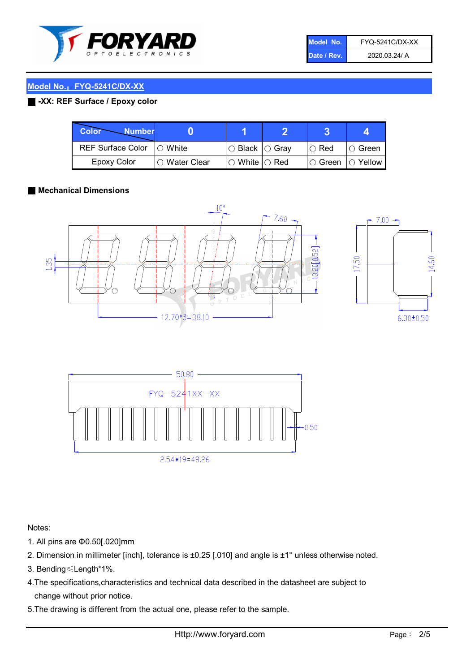

| Model No.   | FYQ-5241C/DX-XX |
|-------------|-----------------|
| Date / Rev. | 2020.03.24/ A   |

# Model No.: FYQ-5241C/DX-XX

# ■ -XX: REF Surface / Epoxy color

| Color<br><b>Number</b>      |               |                           |               |            |
|-----------------------------|---------------|---------------------------|---------------|------------|
| REF Surface Color   O White |               | I○ Black  ○ Grav          | $\circ$ Red   | IO Green   |
| Epoxy Color                 | ○ Water Clear | $\circ$ White $\circ$ Red | $\circ$ Green | ( ) Yellow |

## ■ Mechanical Dimensions







Notes:

- 1. All pins are Φ0.50[.020]mm
- 2. Dimension in millimeter [inch], tolerance is ±0.25 [.010] and angle is ±1° unless otherwise noted.
- 3. Bending≤Length\*1%.
- 4.The specifications,characteristics and technical data described in the datasheet are subject to change without prior notice.
- 5.The drawing is different from the actual one, please refer to the sample.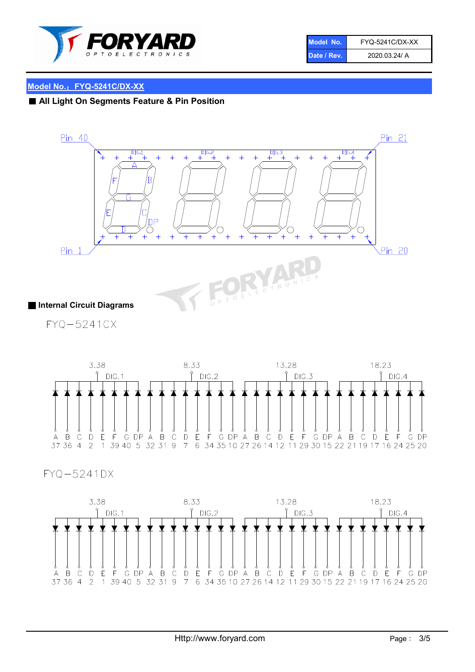

| Model No.   | <b>FYQ-5241C/DX-XX</b> |
|-------------|------------------------|
| Date / Rev. | 2020.03.24/ A          |

# Model No.: FYQ-5241C/DX-XX

# ■ All Light On Segments Feature & Pin Position



FYQ-5241CX



# FYQ-5241DX

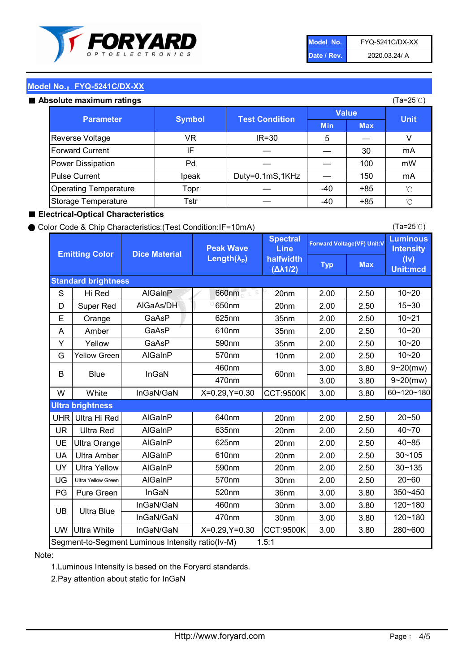

| Model No.   | FYQ-5241C/DX-XX |
|-------------|-----------------|
| Date / Rev. | 2020.03.24/ A   |

(Ta=25℃)

# Model No.: FYQ-5241C/DX-XX

#### Absolute maximum

| solute maximum ratings       |               |                       |              |            | (Ta=25℃)    |
|------------------------------|---------------|-----------------------|--------------|------------|-------------|
| <b>Parameter</b>             | <b>Symbol</b> | <b>Test Condition</b> | <b>Value</b> |            |             |
|                              |               |                       | <b>Min</b>   | <b>Max</b> | <b>Unit</b> |
| Reverse Voltage              | VR            | $IR = 30$             | 5            |            |             |
| <b>Forward Current</b>       | ΙF            |                       |              | 30         | mA          |
| Power Dissipation            | Pd            |                       |              | 100        | mW          |
| <b>Pulse Current</b>         | Ipeak         | Duty=0.1mS,1KHz       |              | 150        | mA          |
| <b>Operating Temperature</b> | Topr          |                       | $-40$        | $+85$      | °C          |
| Storage Temperature          | Tstr          |                       | $-40$        | $+85$      | °C          |

## ■ Electrical-Optical Characteristics

#### ● Color Code & Chip Characteristics:(Test Condition:IF=10mA)

Typ Max S | Hi $\textsf{Red}$  | AlGaInP | 660nm LE 20nm | 2.00 | 2.50 D | Super Red | AIGaAs/DH | 650nm | 20nm | 2.00 | 2.50 E | Orange | GaAsP | 625nm | 35nm | 2.00 | 2.50 A | Amber | GaAsP | 610nm | 35nm | 2.00 | 2.50 Y | Yellow | GaAsP | 590nm | 35nm | 2.00 | 2.50 G Yellow Green AIGaInP | 570nm | 10nm | 2.00 | 2.50 3.00 3.80 3.00 3.80 W | White | InGaN/GaN | X=0.29,Y=0.30 |CCT:9500K| 3.00 | 3.80 UHR Ultra Hi Red | AlGaInP | 640nm | 20nm | 2.00 | 2.50 UR | Ultra Red | AlGaInP | 635nm | 20nm | 2.00 | 2.50 UE Ultra Orange | AIGaInP | 625nm | 20nm | 2.00 | 2.50 UA Ultra Amber | AIGaInP | 610nm | 20nm | 2.00 | 2.50  $UV$  Ultra Yellow  $\vert$  AlGaInP  $\vert$  590nm  $\vert$  20nm  $\vert$  2.00  $\vert$  2.50  $\text{UG}$  Ultra Yellow Green | AIGaInP | 570nm | 30nm | 2.00 | 2.50 PG Pure Green | InGaN | 520nm | 36nm | 3.00 | 3.80 30nm 3.00 3.80 30nm 3.00 3.80 UW |Ultra White | InGaN/GaN | X=0.29,Y=0.30 |CCT:9500K| 3.00 | 3.80 40~85 60~120~180 40~70 Segment-to-Segment Luminous Intensity ratio(Iv-M) 1.5:1 610nm 9~20(mw) 350~450 470nm 120~180 120~180 Ultra Blue InGaN/GaN InGaN/GaN 9~20(mw) 20~50 280~600 570nm | 30nm | 2.00 | 2.50 | 20~60 470nm 590nm InGaN/GaN B Blue I InGaN 570nm | 10nm | 2.00 | 2.50 | 10~20 30~105 30~135 460nm 520nm Ultra brightness **AlGaInP** AlGaInP 60nm AlGaInP 640nm Peak Wave Length $(\lambda_{\rm P})$ UB 460nm 635nm AlGaInP AlGaInP AlGaInP InGaN/GaN AlGaInP 10~20 Luminous **Intensity** (Iv) Unit:mcd AlGainP 660nm GaAsP GaAsP AlGaAs/DH **Spectral** Line halfwidth (∆λ1/2) 10~20 Standard brightness Forward Voltage(VF) Unit:V 15~30 10~20 625nm GaAsP 590nm **Emitting Color Dice Material** 10~21 610nm

## Note:

1.Luminous Intensity is based on the Foryard standards.

2.Pay attention about static for InGaN